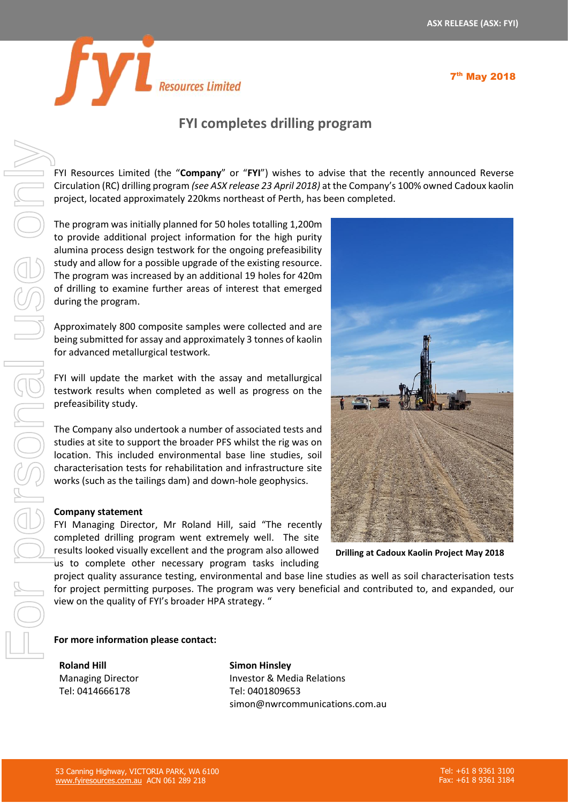



## **FYI completes drilling program**

FYI Resources Limited (the "**Company**" or "**FYI**") wishes to advise that the recently announced Reverse Circulation (RC) drilling program *(see ASX release 23 April 2018)* at the Company's 100% owned Cadoux kaolin project, located approximately 220kms northeast of Perth, has been completed.

The program was initially planned for 50 holes totalling 1,200m to provide additional project information for the high purity alumina process design testwork for the ongoing prefeasibility study and allow for a possible upgrade of the existing resource. The program was increased by an additional 19 holes for 420m of drilling to examine further areas of interest that emerged during the program.

Approximately 800 composite samples were collected and are being submitted for assay and approximately 3 tonnes of kaolin for advanced metallurgical testwork.

FYI will update the market with the assay and metallurgical testwork results when completed as well as progress on the prefeasibility study.

The Company also undertook a number of associated tests and studies at site to support the broader PFS whilst the rig was on location. This included environmental base line studies, soil characterisation tests for rehabilitation and infrastructure site works (such as the tailings dam) and down-hole geophysics.

## **Company statement**

FYI Managing Director, Mr Roland Hill, said "The recently completed drilling program went extremely well. The site results looked visually excellent and the program also allowed us to complete other necessary program tasks including



**Drilling at Cadoux Kaolin Project May 2018**

project quality assurance testing, environmental and base line studies as well as soil characterisation tests for project permitting purposes. The program was very beneficial and contributed to, and expanded, our view on the quality of FYI's broader HPA strategy. "

**For more information please contact:** 

**Roland Hill** Managing Director Tel: 0414666178

**Simon Hinsley** Investor & Media Relations Tel: 0401809653 simon@nwrcommunications.com.au